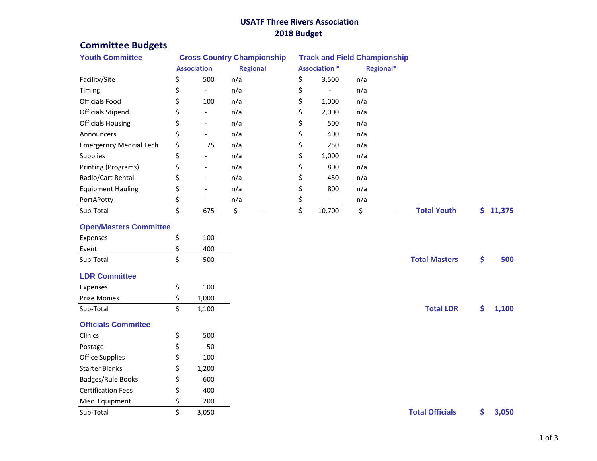## **USATF Three Rivers Association 2018 Budget**

## **Committee Budgets**

| <b>Youth Committee</b>         | <b>Cross Country Championship</b> |                          |                 |                      |                          | <b>Track and Field Championship</b> |                        |     |        |
|--------------------------------|-----------------------------------|--------------------------|-----------------|----------------------|--------------------------|-------------------------------------|------------------------|-----|--------|
|                                | <b>Association</b>                |                          | <b>Regional</b> | <b>Association *</b> |                          | Regional*                           |                        |     |        |
| Facility/Site                  | \$                                | 500                      | n/a             | \$                   | 3,500                    | n/a                                 |                        |     |        |
| Timing                         | \$                                | $\overline{\phantom{a}}$ | n/a             | \$                   | $\overline{\phantom{a}}$ | n/a                                 |                        |     |        |
| <b>Officials Food</b>          | \$                                | 100                      | n/a             | \$                   | 1,000                    | n/a                                 |                        |     |        |
| <b>Officials Stipend</b>       | \$                                | $\overline{\phantom{a}}$ | n/a             | \$                   | 2,000                    | n/a                                 |                        |     |        |
| <b>Officials Housing</b>       | \$                                | $\overline{a}$           | n/a             | \$                   | 500                      | n/a                                 |                        |     |        |
| Announcers                     | \$                                |                          | n/a             | \$                   | 400                      | n/a                                 |                        |     |        |
| <b>Emergerncy Medcial Tech</b> | \$                                | 75                       | n/a             | \$                   | 250                      | n/a                                 |                        |     |        |
| Supplies                       | \$                                | $\overline{\phantom{a}}$ | n/a             | \$                   | 1,000                    | n/a                                 |                        |     |        |
| Printing (Programs)            | \$                                |                          | n/a             | \$                   | 800                      | n/a                                 |                        |     |        |
| Radio/Cart Rental              | \$                                | $\overline{a}$           | n/a             | \$                   | 450                      | n/a                                 |                        |     |        |
| <b>Equipment Hauling</b>       | \$                                |                          | n/a             | \$                   | 800                      | n/a                                 |                        |     |        |
| PortAPotty                     | \$                                | $\overline{\phantom{a}}$ | n/a             | \$                   |                          | n/a                                 |                        |     |        |
| Sub-Total                      | \$                                | 675                      | \$              | \$                   | 10,700                   | \$<br>$\blacksquare$                | <b>Total Youth</b>     | \$. | 11,375 |
| <b>Open/Masters Committee</b>  |                                   |                          |                 |                      |                          |                                     |                        |     |        |
| Expenses                       | \$                                | 100                      |                 |                      |                          |                                     |                        |     |        |
| Event                          | \$                                | 400                      |                 |                      |                          |                                     |                        |     |        |
| Sub-Total                      | \$                                | 500                      |                 |                      |                          |                                     | <b>Total Masters</b>   | \$  | 500    |
| <b>LDR Committee</b>           |                                   |                          |                 |                      |                          |                                     |                        |     |        |
| Expenses                       | \$                                | 100                      |                 |                      |                          |                                     |                        |     |        |
| <b>Prize Monies</b>            | \$                                | 1,000                    |                 |                      |                          |                                     |                        |     |        |
| Sub-Total                      | \$                                | 1,100                    |                 |                      |                          |                                     | <b>Total LDR</b>       | \$  | 1,100  |
| <b>Officials Committee</b>     |                                   |                          |                 |                      |                          |                                     |                        |     |        |
| Clinics                        | \$                                | 500                      |                 |                      |                          |                                     |                        |     |        |
| Postage                        | \$                                | 50                       |                 |                      |                          |                                     |                        |     |        |
| <b>Office Supplies</b>         | \$                                | 100                      |                 |                      |                          |                                     |                        |     |        |
| <b>Starter Blanks</b>          | \$                                | 1,200                    |                 |                      |                          |                                     |                        |     |        |
| Badges/Rule Books              | \$                                | 600                      |                 |                      |                          |                                     |                        |     |        |
| <b>Certification Fees</b>      | \$                                | 400                      |                 |                      |                          |                                     |                        |     |        |
| Misc. Equipment                | \$                                | 200                      |                 |                      |                          |                                     |                        |     |        |
| Sub-Total                      | \$                                | 3,050                    |                 |                      |                          |                                     | <b>Total Officials</b> | \$  | 3,050  |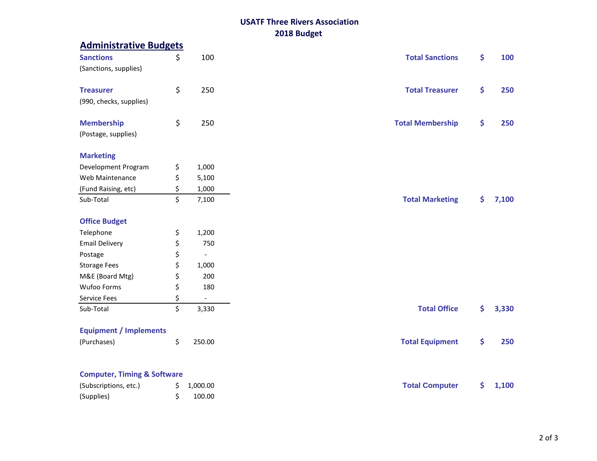## **USATF Three Rivers Association 2018 Budget**

| <b>Administrative Budgets</b>          |                      |                         |    |
|----------------------------------------|----------------------|-------------------------|----|
| <b>Sanctions</b>                       | \$<br>100            | <b>Total Sanctions</b>  | \$ |
| (Sanctions, supplies)                  |                      |                         |    |
|                                        |                      |                         |    |
| <b>Treasurer</b>                       | \$<br>250            | <b>Total Treasurer</b>  | \$ |
| (990, checks, supplies)                |                      |                         |    |
|                                        |                      |                         |    |
| <b>Membership</b>                      | \$<br>250            | <b>Total Membership</b> | \$ |
| (Postage, supplies)                    |                      |                         |    |
|                                        |                      |                         |    |
| <b>Marketing</b>                       |                      |                         |    |
| Development Program                    | \$<br>1,000          |                         |    |
| Web Maintenance                        | \$<br>5,100          |                         |    |
| (Fund Raising, etc)                    | \$<br>1,000          |                         |    |
| Sub-Total                              | \$<br>7,100          | <b>Total Marketing</b>  | \$ |
|                                        |                      |                         |    |
| <b>Office Budget</b>                   |                      |                         |    |
| Telephone                              | \$<br>1,200          |                         |    |
| <b>Email Delivery</b>                  | \$<br>750            |                         |    |
| Postage                                | \$<br>$\Box$         |                         |    |
| <b>Storage Fees</b>                    | \$<br>1,000          |                         |    |
| M&E (Board Mtg)                        | \$<br>200            |                         |    |
| Wufoo Forms                            | \$<br>180            |                         |    |
| Service Fees                           | \$<br>$\blacksquare$ |                         |    |
| Sub-Total                              | \$<br>3,330          | <b>Total Office</b>     | \$ |
| <b>Equipment / Implements</b>          |                      |                         |    |
| (Purchases)                            | \$<br>250.00         | <b>Total Equipment</b>  | \$ |
|                                        |                      |                         |    |
| <b>Computer, Timing &amp; Software</b> |                      |                         |    |
| (Subscriptions, etc.)                  | \$<br>1,000.00       | <b>Total Computer</b>   | \$ |
| (Supplies)                             | \$<br>100.00         |                         |    |
|                                        |                      |                         |    |